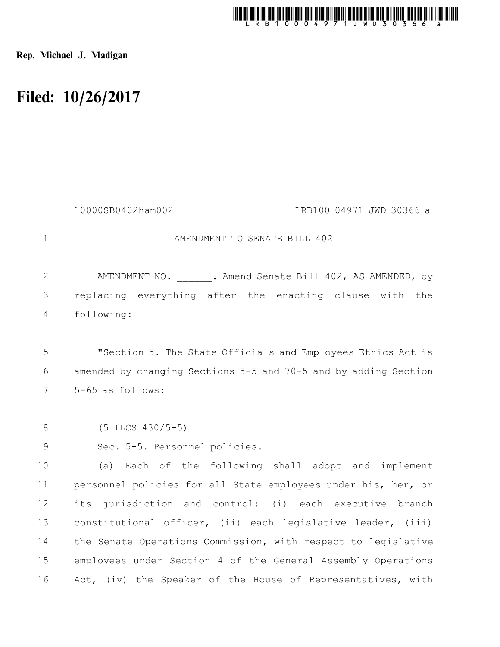

Rep. Michael J. Madigan

## Filed: 10/26/2017

|              | 10000SB0402ham002<br>LRB100 04971 JWD 30366 a                   |
|--------------|-----------------------------------------------------------------|
| $\mathbf 1$  | AMENDMENT TO SENATE BILL 402                                    |
| $\mathbf{2}$ | AMENDMENT NO. 3. Amend Senate Bill 402, AS AMENDED, by          |
| 3            | replacing everything after the enacting clause with the         |
| 4            | following:                                                      |
|              |                                                                 |
| 5            | "Section 5. The State Officials and Employees Ethics Act is     |
| 6            | amended by changing Sections 5-5 and 70-5 and by adding Section |
| 7            | 5-65 as follows:                                                |
|              |                                                                 |
| 8            | $(5$ ILCS $430/5-5)$                                            |
| $\mathsf 9$  | Sec. 5-5. Personnel policies.                                   |
| 10           | (a) Each of the following shall adopt and implement             |
| 11           | personnel policies for all State employees under his, her, or   |
| 12           | its jurisdiction and control: (i) each executive branch         |
| 13           | constitutional officer, (ii) each legislative leader, (iii)     |
| 14           | the Senate Operations Commission, with respect to legislative   |
| 15           | employees under Section 4 of the General Assembly Operations    |
| 16           | Act, (iv) the Speaker of the House of Representatives, with     |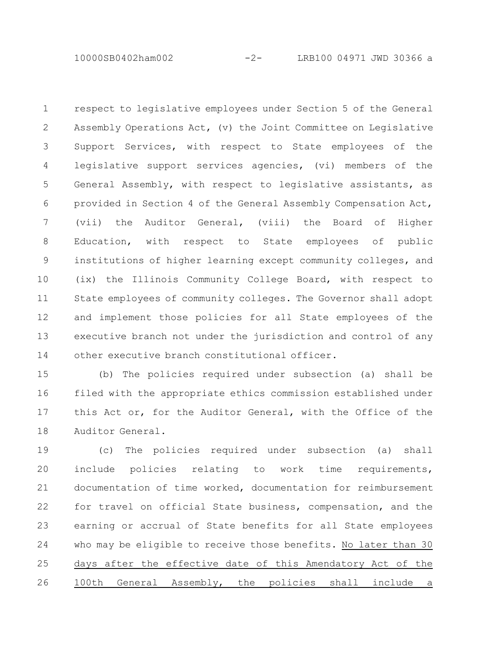10000SB0402ham002 -2- LRB100 04971 JWD 30366 a

respect to legislative employees under Section 5 of the General Assembly Operations Act, (v) the Joint Committee on Legislative Support Services, with respect to State employees of the legislative support services agencies, (vi) members of the General Assembly, with respect to legislative assistants, as provided in Section 4 of the General Assembly Compensation Act, (vii) the Auditor General, (viii) the Board of Higher Education, with respect to State employees of public institutions of higher learning except community colleges, and (ix) the Illinois Community College Board, with respect to State employees of community colleges. The Governor shall adopt and implement those policies for all State employees of the executive branch not under the jurisdiction and control of any other executive branch constitutional officer. 1 2 3 4 5 6 7 8 9 10 11 12 13 14

(b) The policies required under subsection (a) shall be filed with the appropriate ethics commission established under this Act or, for the Auditor General, with the Office of the Auditor General. 15 16 17 18

(c) The policies required under subsection (a) shall include policies relating to work time requirements, documentation of time worked, documentation for reimbursement for travel on official State business, compensation, and the earning or accrual of State benefits for all State employees who may be eligible to receive those benefits. No later than 30 days after the effective date of this Amendatory Act of the 100th General Assembly, the policies shall include a 19 20 21 22 23 24 25 26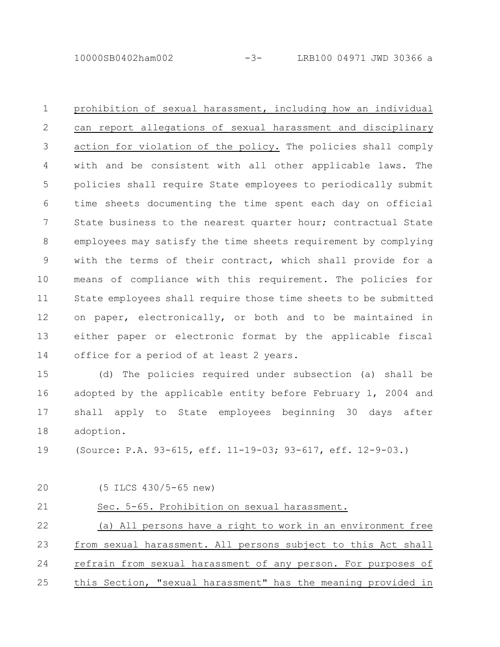10000SB0402ham002 -3- LRB100 04971 JWD 30366 a

prohibition of sexual harassment, including how an individual can report allegations of sexual harassment and disciplinary action for violation of the policy. The policies shall comply with and be consistent with all other applicable laws. The policies shall require State employees to periodically submit time sheets documenting the time spent each day on official State business to the nearest quarter hour; contractual State employees may satisfy the time sheets requirement by complying with the terms of their contract, which shall provide for a means of compliance with this requirement. The policies for State employees shall require those time sheets to be submitted on paper, electronically, or both and to be maintained in either paper or electronic format by the applicable fiscal office for a period of at least 2 years. 1 2 3 4 5 6 7 8 9 10 11 12 13 14

(d) The policies required under subsection (a) shall be adopted by the applicable entity before February 1, 2004 and shall apply to State employees beginning 30 days after adoption. 15 16 17 18

(Source: P.A. 93-615, eff. 11-19-03; 93-617, eff. 12-9-03.) 19

| 20 | $(5$ ILCS $430/5-65$ new)                                     |
|----|---------------------------------------------------------------|
| 21 | Sec. 5-65. Prohibition on sexual harassment.                  |
| 22 | (a) All persons have a right to work in an environment free   |
| 23 | from sexual harassment. All persons subject to this Act shall |
| 24 | refrain from sexual harassment of any person. For purposes of |
| 25 | this Section, "sexual harassment" has the meaning provided in |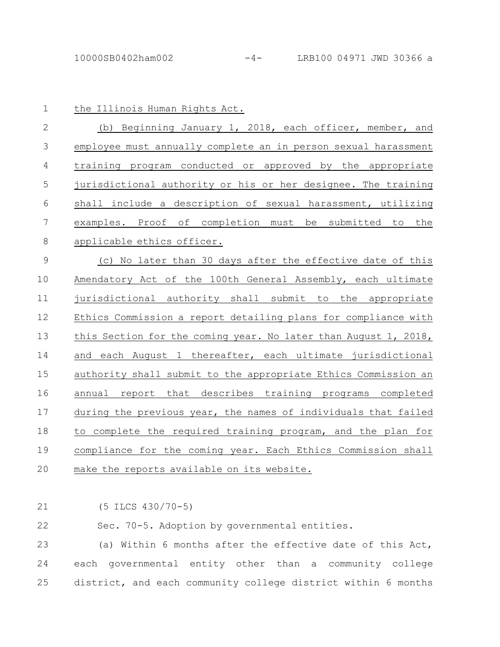| $\mathbf 1$    | the Illinois Human Rights Act.                                  |
|----------------|-----------------------------------------------------------------|
| $\overline{2}$ | (b) Beginning January 1, 2018, each officer, member, and        |
| $\mathcal{S}$  | employee must annually complete an in person sexual harassment  |
| 4              | training program conducted or approved by the appropriate       |
| 5              | jurisdictional authority or his or her designee. The training   |
| 6              | shall include a description of sexual harassment, utilizing     |
| $\overline{7}$ | examples. Proof of completion must be submitted to the          |
| 8              | applicable ethics officer.                                      |
| $\mathcal{G}$  | (c) No later than 30 days after the effective date of this      |
| 10             | Amendatory Act of the 100th General Assembly, each ultimate     |
| 11             | jurisdictional authority shall submit to the appropriate        |
| 12             | Ethics Commission a report detailing plans for compliance with  |
| 13             | this Section for the coming year. No later than August 1, 2018, |
| 14             | and each August 1 thereafter, each ultimate jurisdictional      |
| 15             | authority shall submit to the appropriate Ethics Commission an  |
| 16             | annual report that describes training programs completed        |
| 17             | during the previous year, the names of individuals that failed  |
| 18             | to complete the required training program, and the plan for     |
| 19             | compliance for the coming year. Each Ethics Commission shall    |
| 20             | make the reports available on its website.                      |

(5 ILCS 430/70-5) 21

Sec. 70-5. Adoption by governmental entities. 22

(a) Within 6 months after the effective date of this Act, each governmental entity other than a community college district, and each community college district within 6 months 23 24 25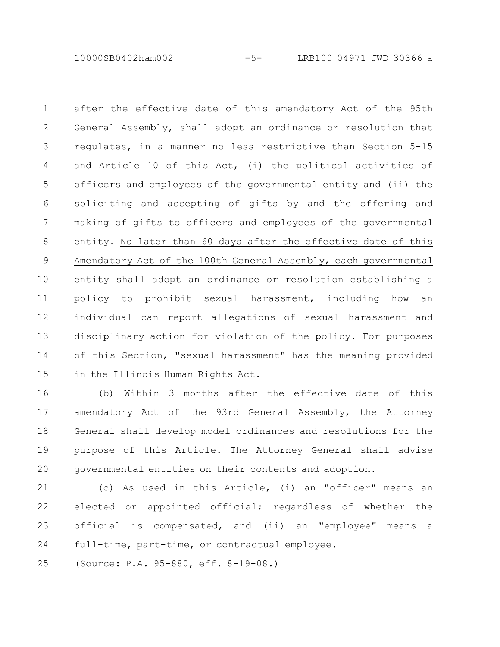10000SB0402ham002 -5- LRB100 04971 JWD 30366 a

after the effective date of this amendatory Act of the 95th General Assembly, shall adopt an ordinance or resolution that regulates, in a manner no less restrictive than Section 5-15 and Article 10 of this Act, (i) the political activities of officers and employees of the governmental entity and (ii) the soliciting and accepting of gifts by and the offering and making of gifts to officers and employees of the governmental entity. No later than 60 days after the effective date of this Amendatory Act of the 100th General Assembly, each governmental entity shall adopt an ordinance or resolution establishing a policy to prohibit sexual harassment, including how an individual can report allegations of sexual harassment and disciplinary action for violation of the policy. For purposes of this Section, "sexual harassment" has the meaning provided in the Illinois Human Rights Act. 1 2 3 4 5 6 7 8 9 10 11 12 13 14 15

(b) Within 3 months after the effective date of this amendatory Act of the 93rd General Assembly, the Attorney General shall develop model ordinances and resolutions for the purpose of this Article. The Attorney General shall advise governmental entities on their contents and adoption. 16 17 18 19 20

(c) As used in this Article, (i) an "officer" means an elected or appointed official; regardless of whether the official is compensated, and (ii) an "employee" means a full-time, part-time, or contractual employee. 21 22 23 24

(Source: P.A. 95-880, eff. 8-19-08.) 25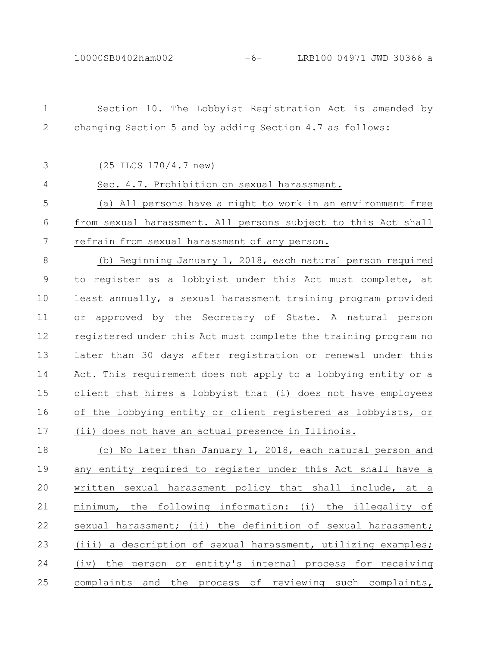Section 10. The Lobbyist Registration Act is amended by changing Section 5 and by adding Section 4.7 as follows: (25 ILCS 170/4.7 new) Sec. 4.7. Prohibition on sexual harassment. (a) All persons have a right to work in an environment free from sexual harassment. All persons subject to this Act shall refrain from sexual harassment of any person. (b) Beginning January 1, 2018, each natural person required to register as a lobbyist under this Act must complete, at least annually, a sexual harassment training program provided or approved by the Secretary of State. A natural person registered under this Act must complete the training program no later than 30 days after registration or renewal under this Act. This requirement does not apply to a lobbying entity or a client that hires a lobbyist that (i) does not have employees of the lobbying entity or client registered as lobbyists, or (ii) does not have an actual presence in Illinois. (c) No later than January 1, 2018, each natural person and any entity required to register under this Act shall have a written sexual harassment policy that shall include, at a minimum, the following information: (i) the illegality of sexual harassment; (ii) the definition of sexual harassment; (iii) a description of sexual harassment, utilizing examples; (iv) the person or entity's internal process for receiving complaints and the process of reviewing such complaints, 1 2 3 4 5 6 7 8 9 10 11 12 13 14 15 16 17 18 19 20 21 22 23 24 25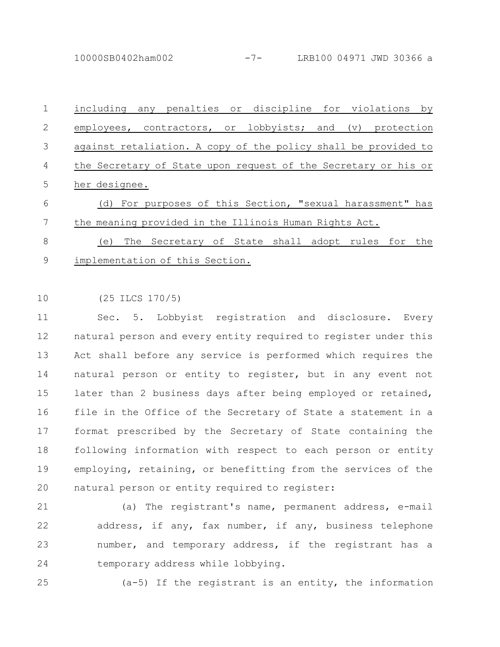10000SB0402ham002 -7- LRB100 04971 JWD 30366 a

including any penalties or discipline for violations by employees, contractors, or lobbyists; and (v) protection against retaliation. A copy of the policy shall be provided to the Secretary of State upon request of the Secretary or his or her designee. 1 2 3 4 5

(d) For purposes of this Section, "sexual harassment" has the meaning provided in the Illinois Human Rights Act. 6 7

(e) The Secretary of State shall adopt rules for the implementation of this Section. 8 9

(25 ILCS 170/5) 10

Sec. 5. Lobbyist registration and disclosure. Every natural person and every entity required to register under this Act shall before any service is performed which requires the natural person or entity to register, but in any event not later than 2 business days after being employed or retained, file in the Office of the Secretary of State a statement in a format prescribed by the Secretary of State containing the following information with respect to each person or entity employing, retaining, or benefitting from the services of the natural person or entity required to register: 11 12 13 14 15 16 17 18 19 20

21

(a) The registrant's name, permanent address, e-mail address, if any, fax number, if any, business telephone number, and temporary address, if the registrant has a temporary address while lobbying. 22 23 24

25

(a-5) If the registrant is an entity, the information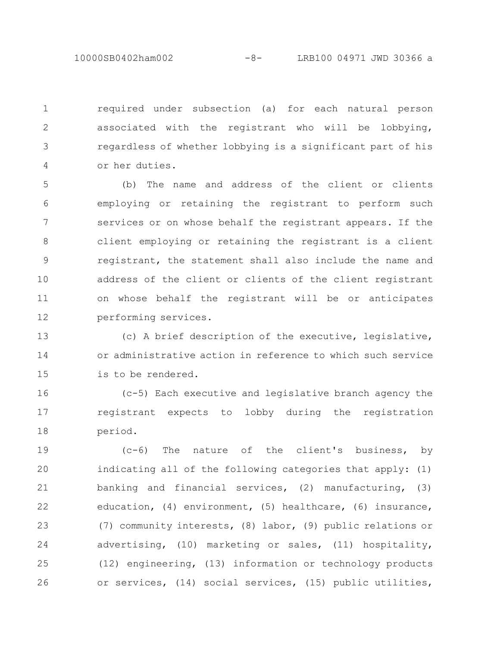10000SB0402ham002 -8- LRB100 04971 JWD 30366 a

required under subsection (a) for each natural person associated with the registrant who will be lobbying, regardless of whether lobbying is a significant part of his or her duties. 1 2 3 4

(b) The name and address of the client or clients employing or retaining the registrant to perform such services or on whose behalf the registrant appears. If the client employing or retaining the registrant is a client registrant, the statement shall also include the name and address of the client or clients of the client registrant on whose behalf the registrant will be or anticipates performing services. 5 6 7 8 9 10 11 12

(c) A brief description of the executive, legislative, or administrative action in reference to which such service is to be rendered. 13 14 15

(c-5) Each executive and legislative branch agency the registrant expects to lobby during the registration period. 16 17 18

(c-6) The nature of the client's business, by indicating all of the following categories that apply: (1) banking and financial services, (2) manufacturing, (3) education, (4) environment, (5) healthcare, (6) insurance, (7) community interests, (8) labor, (9) public relations or advertising, (10) marketing or sales, (11) hospitality, (12) engineering, (13) information or technology products or services, (14) social services, (15) public utilities, 19 20 21 22 23 24 25 26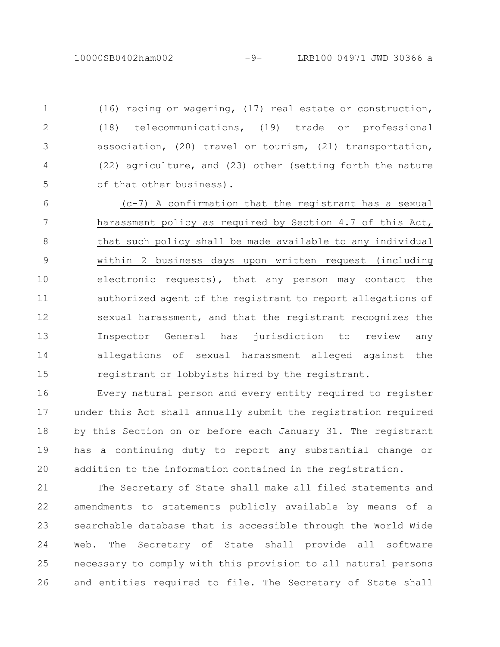(16) racing or wagering, (17) real estate or construction, (18) telecommunications, (19) trade or professional association, (20) travel or tourism, (21) transportation, (22) agriculture, and (23) other (setting forth the nature of that other business). 1 2 3 4 5

(c-7) A confirmation that the registrant has a sexual harassment policy as required by Section 4.7 of this Act, that such policy shall be made available to any individual within 2 business days upon written request (including electronic requests), that any person may contact the authorized agent of the registrant to report allegations of sexual harassment, and that the registrant recognizes the Inspector General has jurisdiction to review any allegations of sexual harassment alleged against the registrant or lobbyists hired by the registrant. 6 7 8 9 10 11 12 13 14 15

Every natural person and every entity required to register under this Act shall annually submit the registration required by this Section on or before each January 31. The registrant has a continuing duty to report any substantial change or addition to the information contained in the registration. 16 17 18 19 20

The Secretary of State shall make all filed statements and amendments to statements publicly available by means of a searchable database that is accessible through the World Wide Web. The Secretary of State shall provide all software necessary to comply with this provision to all natural persons and entities required to file. The Secretary of State shall 21 22 23 24 25 26